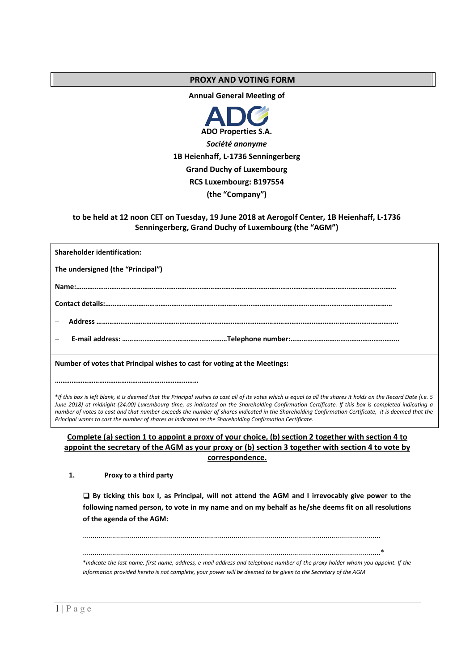### **PROXY AND VOTING FORM**

**Annual General Meeting of** 



# **to be held at 12 noon CET on Tuesday, 19 June 2018 at Aerogolf Center, 1B Heienhaff, L-1736 Senningerberg, Grand Duchy of Luxembourg (the "AGM")**

| <b>Shareholder identification:</b>                                        |
|---------------------------------------------------------------------------|
| The undersigned (the "Principal")                                         |
|                                                                           |
|                                                                           |
|                                                                           |
|                                                                           |
| Number of votes that Principal wishes to cast for voting at the Meetings: |
|                                                                           |

\**If this box is left blank, it is deemed that the Principal wishes to cast all of its votes which is equal to all the shares it holds on the Record Date (i.e. 5 June 2018) at midnight (24:00) Luxembourg time, as indicated on the Shareholding Confirmation Certificate. If this box is completed indicating a number of votes to cast and that number exceeds the number of shares indicated in the Shareholding Confirmation Certificate, it is deemed that the Principal wants to cast the number of shares as indicated on the Shareholding Confirmation Certificate.*

### **Complete (a) section 1 to appoint a proxy of your choice, (b) section 2 together with section 4 to appoint the secretary of the AGM as your proxy or (b) section 3 together with section 4 to vote by correspondence.**

**1. Proxy to a third party** 

 **By ticking this box I, as Principal, will not attend the AGM and I irrevocably give power to the following named person, to vote in my name and on my behalf as he/she deems fit on all resolutions of the agenda of the AGM:** 

........................................................................................................................................................

........................................................................................................................................................\*

\**Indicate the last name, first name, address, e-mail address and telephone number of the proxy holder whom you appoint. If the information provided hereto is not complete, your power will be deemed to be given to the Secretary of the AGM*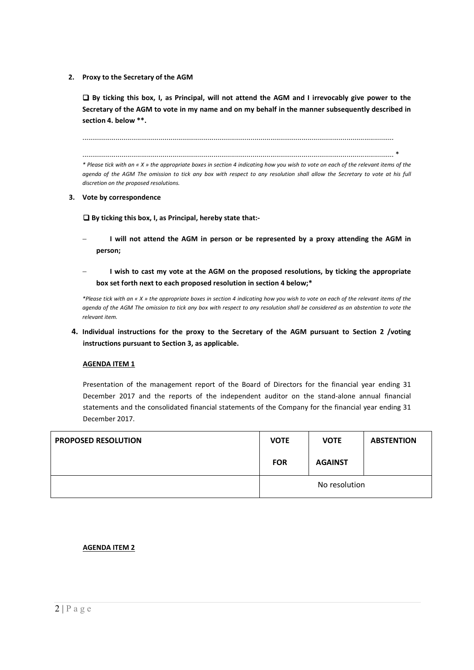**2. Proxy to the Secretary of the AGM** 

 **By ticking this box, I, as Principal, will not attend the AGM and I irrevocably give power to the Secretary of the AGM to vote in my name and on my behalf in the manner subsequently described in section 4. below \*\*.** 

...............................................................................................................................................................

............................................................................................................................................................... \* *\* Please tick with an « X » the appropriate boxes in section 4 indicating how you wish to vote on each of the relevant items of the agenda of the AGM The omission to tick any box with respect to any resolution shall allow the Secretary to vote at his full discretion on the proposed resolutions.* 

**3. Vote by correspondence** 

 **By ticking this box, I, as Principal, hereby state that:-** 

- − **I will not attend the AGM in person or be represented by a proxy attending the AGM in person;**
- − **I wish to cast my vote at the AGM on the proposed resolutions, by ticking the appropriate box set forth next to each proposed resolution in section 4 below;\***

*\*Please tick with an « X » the appropriate boxes in section 4 indicating how you wish to vote on each of the relevant items of the agenda of the AGM The omission to tick any box with respect to any resolution shall be considered as an abstention to vote the relevant item.* 

**4. Individual instructions for the proxy to the Secretary of the AGM pursuant to Section 2 /voting instructions pursuant to Section 3, as applicable.**

#### **AGENDA ITEM 1**

Presentation of the management report of the Board of Directors for the financial year ending 31 December 2017 and the reports of the independent auditor on the stand-alone annual financial statements and the consolidated financial statements of the Company for the financial year ending 31 December 2017.

| <b>PROPOSED RESOLUTION</b> | <b>VOTE</b>   | <b>VOTE</b>    | <b>ABSTENTION</b> |
|----------------------------|---------------|----------------|-------------------|
|                            | <b>FOR</b>    | <b>AGAINST</b> |                   |
|                            | No resolution |                |                   |

# **AGENDA ITEM 2**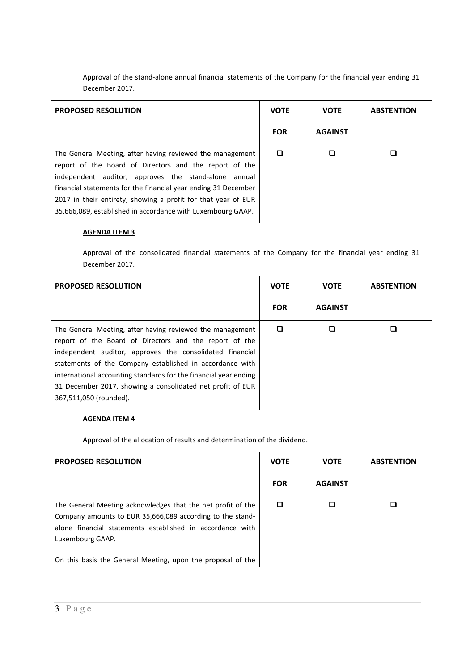Approval of the stand-alone annual financial statements of the Company for the financial year ending 31 December 2017.

| <b>PROPOSED RESOLUTION</b>                                                                                                                                                                                                                                                                                                                                                    | <b>VOTE</b> | <b>VOTE</b>    | <b>ABSTENTION</b> |
|-------------------------------------------------------------------------------------------------------------------------------------------------------------------------------------------------------------------------------------------------------------------------------------------------------------------------------------------------------------------------------|-------------|----------------|-------------------|
|                                                                                                                                                                                                                                                                                                                                                                               | <b>FOR</b>  | <b>AGAINST</b> |                   |
| The General Meeting, after having reviewed the management<br>report of the Board of Directors and the report of the<br>independent auditor, approves the stand-alone annual<br>financial statements for the financial year ending 31 December<br>2017 in their entirety, showing a profit for that year of EUR<br>35,666,089, established in accordance with Luxembourg GAAP. |             |                |                   |

#### **AGENDA ITEM 3**

Approval of the consolidated financial statements of the Company for the financial year ending 31 December 2017.

| <b>PROPOSED RESOLUTION</b>                                                                                                                                                                                                                                                                                                                                                                              | <b>VOTE</b> | <b>VOTE</b>    | <b>ABSTENTION</b> |
|---------------------------------------------------------------------------------------------------------------------------------------------------------------------------------------------------------------------------------------------------------------------------------------------------------------------------------------------------------------------------------------------------------|-------------|----------------|-------------------|
|                                                                                                                                                                                                                                                                                                                                                                                                         | <b>FOR</b>  | <b>AGAINST</b> |                   |
| The General Meeting, after having reviewed the management<br>report of the Board of Directors and the report of the<br>independent auditor, approves the consolidated financial<br>statements of the Company established in accordance with<br>international accounting standards for the financial year ending<br>31 December 2017, showing a consolidated net profit of EUR<br>367,511,050 (rounded). | ◻           |                |                   |

# **AGENDA ITEM 4**

Approval of the allocation of results and determination of the dividend.

| <b>PROPOSED RESOLUTION</b>                                                                                                                                                                                | <b>VOTE</b> | <b>VOTE</b>    | <b>ABSTENTION</b> |
|-----------------------------------------------------------------------------------------------------------------------------------------------------------------------------------------------------------|-------------|----------------|-------------------|
|                                                                                                                                                                                                           | <b>FOR</b>  | <b>AGAINST</b> |                   |
| The General Meeting acknowledges that the net profit of the<br>Company amounts to EUR 35,666,089 according to the stand-<br>alone financial statements established in accordance with<br>Luxembourg GAAP. |             |                |                   |
| On this basis the General Meeting, upon the proposal of the                                                                                                                                               |             |                |                   |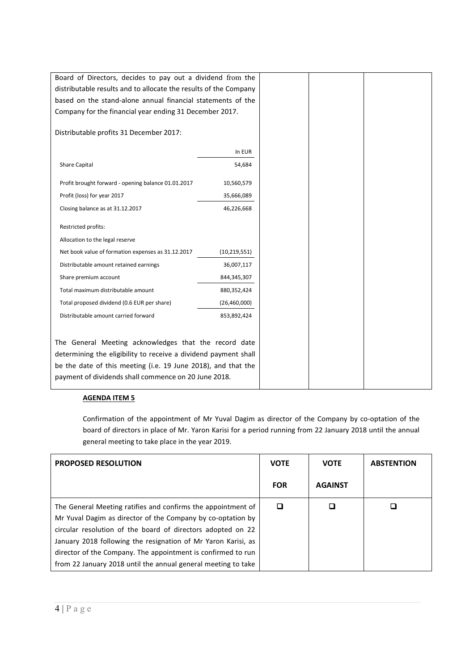| Board of Directors, decides to pay out a dividend from the       |                |
|------------------------------------------------------------------|----------------|
| distributable results and to allocate the results of the Company |                |
| based on the stand-alone annual financial statements of the      |                |
| Company for the financial year ending 31 December 2017.          |                |
|                                                                  |                |
| Distributable profits 31 December 2017:                          |                |
|                                                                  | In EUR         |
| Share Capital                                                    | 54,684         |
|                                                                  |                |
| Profit brought forward - opening balance 01.01.2017              | 10,560,579     |
| Profit (loss) for year 2017                                      | 35,666,089     |
| Closing balance as at 31.12.2017                                 | 46,226,668     |
| Restricted profits:                                              |                |
| Allocation to the legal reserve                                  |                |
| Net book value of formation expenses as 31.12.2017               | (10, 219, 551) |
| Distributable amount retained earnings                           | 36,007,117     |
| Share premium account                                            | 844,345,307    |
| Total maximum distributable amount                               | 880,352,424    |
| Total proposed dividend (0.6 EUR per share)                      | (26,460,000)   |
| Distributable amount carried forward                             | 853,892,424    |
|                                                                  |                |
| The General Meeting acknowledges that the record date            |                |
| determining the eligibility to receive a dividend payment shall  |                |
| be the date of this meeting (i.e. 19 June 2018), and that the    |                |
| payment of dividends shall commence on 20 June 2018.             |                |
|                                                                  |                |

# **AGENDA ITEM 5**

Confirmation of the appointment of Mr Yuval Dagim as director of the Company by co-optation of the board of directors in place of Mr. Yaron Karisi for a period running from 22 January 2018 until the annual general meeting to take place in the year 2019.

| <b>PROPOSED RESOLUTION</b>                                    | <b>VOTE</b> | <b>VOTE</b>    | <b>ABSTENTION</b> |
|---------------------------------------------------------------|-------------|----------------|-------------------|
|                                                               | <b>FOR</b>  | <b>AGAINST</b> |                   |
| The General Meeting ratifies and confirms the appointment of  |             |                |                   |
| Mr Yuval Dagim as director of the Company by co-optation by   |             |                |                   |
| circular resolution of the board of directors adopted on 22   |             |                |                   |
| January 2018 following the resignation of Mr Yaron Karisi, as |             |                |                   |
| director of the Company. The appointment is confirmed to run  |             |                |                   |
| from 22 January 2018 until the annual general meeting to take |             |                |                   |